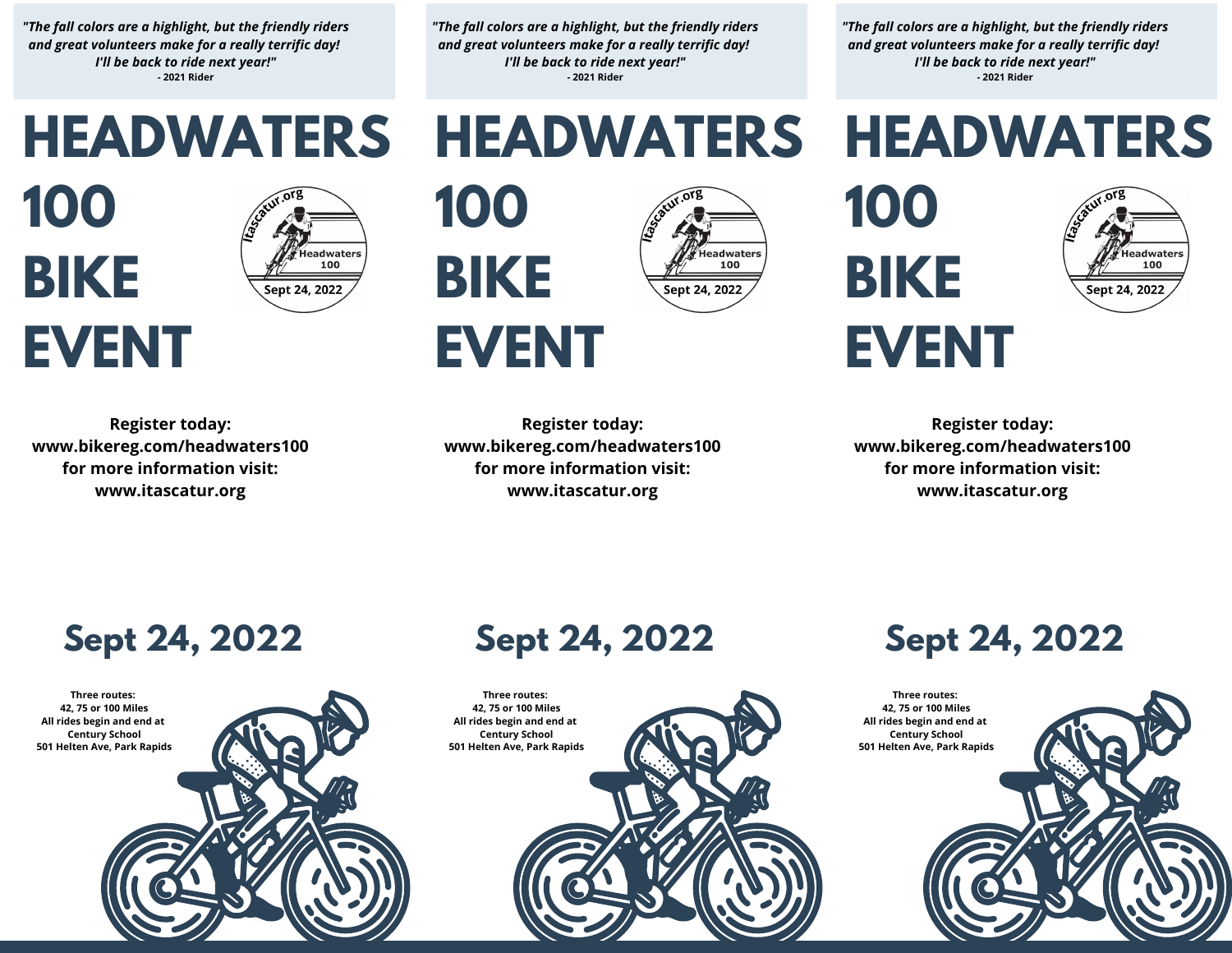*"The fall colors are a highlight, but the friendly riders and great volunteers make for a really terrific day! I'll be back to ride next year!"* **- 2021 Rider**

*"The fall colors are a highlight, but the friendly riders and great volunteers make for a really terrific day! I'll be back to ride next year!"* **- 2021 Rider**

*"The fall colors are a highlight, but the friendly riders and great volunteers make for a really terrific day! I'll be back to ride next year!"* **- 2021 Rider**

**HEADWATERS**

Headwaters

100

Sept 24, 2022

**HEADWATERS**

**HEADWATERS**









**Register today: www.bikereg.com/headwaters100 for more information visit: www.itascatur.org**

**EVENT Register today:**

**100**

**BIKE**

**www.bikereg.com/headwaters100 for more information visit: www.itascatur.org**

**Sept 24, 2022**

**Register today: www.bikereg.com/headwaters100 for more information visit: www.itascatur.org**

**Three routes: 42, 75 or 100 Miles All rides begin and end at Century School 501 Helten Ave, Park Rapids**



## **Sept 24, 2022**

**Three routes: 42, 75 or 100 Miles All rides begin and end at Century School 501 Helten Ave, Park Rapids**

## **Sept 24, 2022**

**Three routes: 42, 75 or 100 Miles All rides begin and end at Century School 501 Helten Ave, Park Rapids**